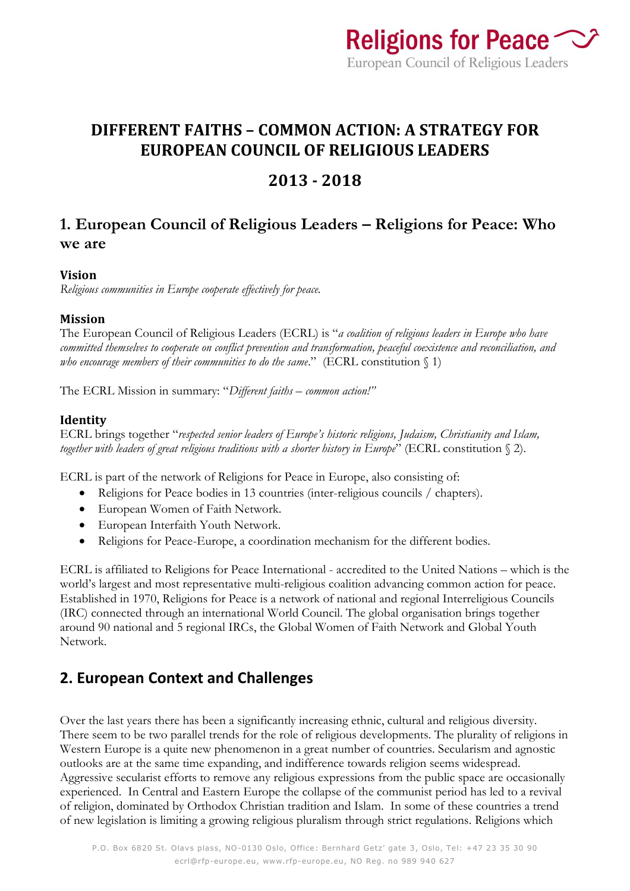

## **DIFFERENT FAITHS – COMMON ACTION: A STRATEGY FOR EUROPEAN COUNCIL OF RELIGIOUS LEADERS**

## **2013 - 2018**

### **1. European Council of Religious Leaders – Religions for Peace: Who we are**

#### **Vision**

*Religious communities in Europe cooperate effectively for peace.*

#### **Mission**

The European Council of Religious Leaders (ECRL) is "*a coalition of religious leaders in Europe who have committed themselves to cooperate on conflict prevention and transformation, peaceful coexistence and reconciliation, and who encourage members of their communities to do the same*." (ECRL constitution § 1)

The ECRL Mission in summary: "*Different faiths – common action!"*

#### **Identity**

ECRL brings together "*respected senior leaders of Europe's historic religions, Judaism, Christianity and Islam, together with leaders of great religious traditions with a shorter history in Europe*" (ECRL constitution § 2).

ECRL is part of the network of Religions for Peace in Europe, also consisting of:

- Religions for Peace bodies in 13 countries (inter-religious councils / chapters).
- European Women of Faith Network.
- European Interfaith Youth Network.
- Religions for Peace-Europe, a coordination mechanism for the different bodies.

ECRL is affiliated to Religions for Peace International - accredited to the United Nations – which is the world's largest and most representative multi-religious coalition advancing common action for peace. Established in 1970, Religions for Peace is a network of national and regional Interreligious Councils (IRC) connected through an international World Council. The global organisation brings together around 90 national and 5 regional IRCs, the Global Women of Faith Network and Global Youth Network.

### **2. European Context and Challenges**

Over the last years there has been a significantly increasing ethnic, cultural and religious diversity. There seem to be two parallel trends for the role of religious developments. The plurality of religions in Western Europe is a quite new phenomenon in a great number of countries. Secularism and agnostic outlooks are at the same time expanding, and indifference towards religion seems widespread. Aggressive secularist efforts to remove any religious expressions from the public space are occasionally experienced. In Central and Eastern Europe the collapse of the communist period has led to a revival of religion, dominated by Orthodox Christian tradition and Islam. In some of these countries a trend of new legislation is limiting a growing religious pluralism through strict regulations. Religions which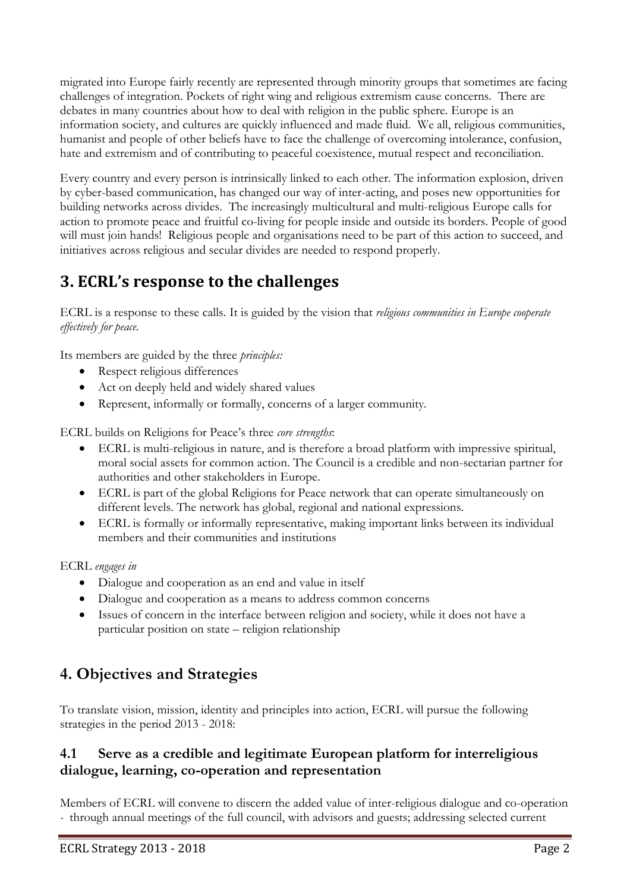migrated into Europe fairly recently are represented through minority groups that sometimes are facing challenges of integration. Pockets of right wing and religious extremism cause concerns. There are debates in many countries about how to deal with religion in the public sphere. Europe is an information society, and cultures are quickly influenced and made fluid. We all, religious communities, humanist and people of other beliefs have to face the challenge of overcoming intolerance, confusion, hate and extremism and of contributing to peaceful coexistence, mutual respect and reconciliation.

Every country and every person is intrinsically linked to each other. The information explosion, driven by cyber-based communication, has changed our way of inter-acting, and poses new opportunities for building networks across divides. The increasingly multicultural and multi-religious Europe calls for action to promote peace and fruitful co-living for people inside and outside its borders. People of good will must join hands! Religious people and organisations need to be part of this action to succeed, and initiatives across religious and secular divides are needed to respond properly.

# **3. ECRL's response to the challenges**

ECRL is a response to these calls. It is guided by the vision that *religious communities in Europe cooperate effectively for peace.*

Its members are guided by the three *principles:*

- Respect religious differences
- Act on deeply held and widely shared values
- Represent, informally or formally, concerns of a larger community.

ECRL builds on Religions for Peace's three *core strengths*:

- ECRL is multi-religious in nature, and is therefore a broad platform with impressive spiritual, moral social assets for common action. The Council is a credible and non-sectarian partner for authorities and other stakeholders in Europe.
- ECRL is part of the global Religions for Peace network that can operate simultaneously on different levels. The network has global, regional and national expressions.
- ECRL is formally or informally representative, making important links between its individual members and their communities and institutions

ECRL *engages in*

- Dialogue and cooperation as an end and value in itself
- Dialogue and cooperation as a means to address common concerns
- Issues of concern in the interface between religion and society, while it does not have a particular position on state – religion relationship

## **4. Objectives and Strategies**

To translate vision, mission, identity and principles into action, ECRL will pursue the following strategies in the period 2013 - 2018:

#### **4.1 Serve as a credible and legitimate European platform for interreligious dialogue, learning, co-operation and representation**

Members of ECRL will convene to discern the added value of inter-religious dialogue and co-operation *-* through annual meetings of the full council, with advisors and guests; addressing selected current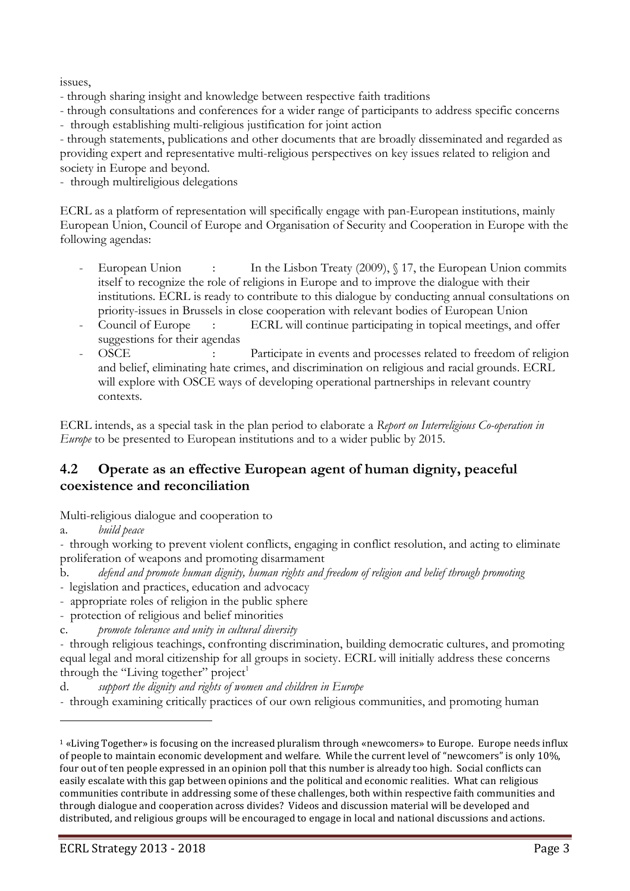issues,

- through sharing insight and knowledge between respective faith traditions
- through consultations and conferences for a wider range of participants to address specific concerns
- through establishing multi-religious justification for joint action

- through statements, publications and other documents that are broadly disseminated and regarded as providing expert and representative multi-religious perspectives on key issues related to religion and society in Europe and beyond.

- through multireligious delegations

ECRL as a platform of representation will specifically engage with pan-European institutions, mainly European Union, Council of Europe and Organisation of Security and Cooperation in Europe with the following agendas:

- European Union : In the Lisbon Treaty (2009), § 17, the European Union commits itself to recognize the role of religions in Europe and to improve the dialogue with their institutions. ECRL is ready to contribute to this dialogue by conducting annual consultations on priority-issues in Brussels in close cooperation with relevant bodies of European Union
- Council of Europe : ECRL will continue participating in topical meetings, and offer suggestions for their agendas<br>OSCE :
- Participate in events and processes related to freedom of religion and belief, eliminating hate crimes, and discrimination on religious and racial grounds. ECRL will explore with OSCE ways of developing operational partnerships in relevant country contexts.

ECRL intends, as a special task in the plan period to elaborate a *Report on Interreligious Co-operation in Europe* to be presented to European institutions and to a wider public by 2015.

#### **4.2 Operate as an effective European agent of human dignity, peaceful coexistence and reconciliation**

Multi-religious dialogue and cooperation to

a. *build peace* 

 $\overline{\phantom{a}}$ 

*-* through working to prevent violent conflicts, engaging in conflict resolution, and acting to eliminate proliferation of weapons and promoting disarmament

- b. *defend and promote human dignity, human rights and freedom of religion and belief through promoting*
- legislation and practices, education and advocacy
- appropriate roles of religion in the public sphere
- protection of religious and belief minorities
- c. *promote tolerance and unity in cultural diversity*

d. *support the dignity and rights of women and children in Europe* 

*-* through examining critically practices of our own religious communities, and promoting human

*<sup>-</sup>* through religious teachings, confronting discrimination, building democratic cultures, and promoting equal legal and moral citizenship for all groups in society. ECRL will initially address these concerns through the "Living together" project $<sup>1</sup>$ </sup>

<sup>1</sup> «Living Together» is focusing on the increased pluralism through «newcomers» to Europe. Europe needs influx of people to maintain economic development and welfare. While the current level of "newcomers" is only 10%, four out of ten people expressed in an opinion poll that this number is already too high. Social conflicts can easily escalate with this gap between opinions and the political and economic realities. What can religious communities contribute in addressing some of these challenges, both within respective faith communities and through dialogue and cooperation across divides? Videos and discussion material will be developed and distributed, and religious groups will be encouraged to engage in local and national discussions and actions.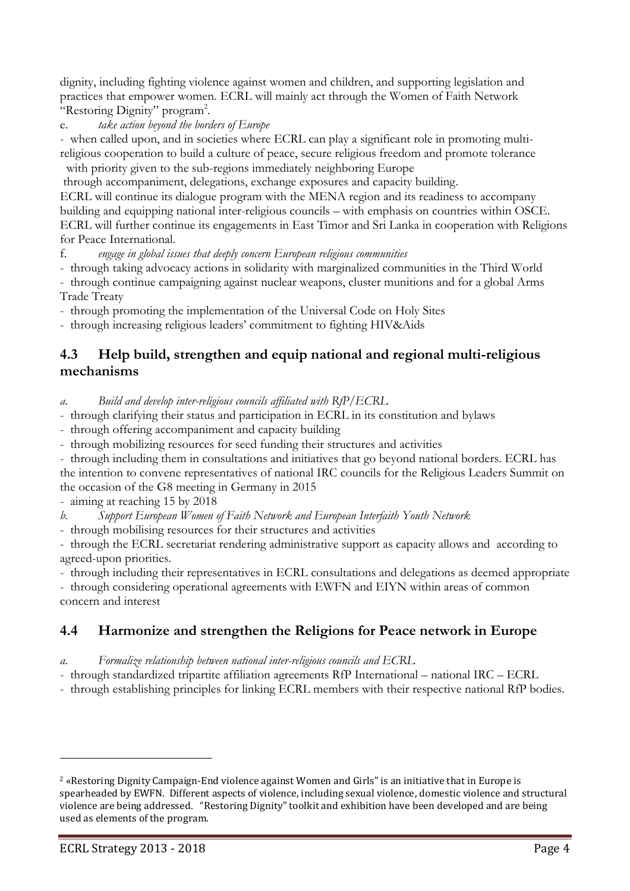dignity, including fighting violence against women and children, and supporting legislation and practices that empower women. ECRL will mainly act through the Women of Faith Network "Restoring Dignity" program<sup>2</sup>.

e. *take action beyond the borders of Europe*

- when called upon, and in societies where ECRL can play a significant role in promoting multireligious cooperation to build a culture of peace, secure religious freedom and promote tolerance with priority given to the sub-regions immediately neighboring Europe

through accompaniment, delegations, exchange exposures and capacity building.

ECRL will continue its dialogue program with the MENA region and its readiness to accompany building and equipping national inter-religious councils – with emphasis on countries within OSCE. ECRL will further continue its engagements in East Timor and Sri Lanka in cooperation with Religions for Peace International.

f. *engage in global issues that deeply concern European religious communities*

- through taking advocacy actions in solidarity with marginalized communities in the Third World

- through continue campaigning against nuclear weapons, cluster munitions and for a global Arms Trade Treaty

- through promoting the implementation of the Universal Code on Holy Sites

- through increasing religious leaders' commitment to fighting HIV&Aids

#### **4.3 Help build, strengthen and equip national and regional multi-religious mechanisms**

*a. Build and develop inter-religious councils affiliated with RfP/ECRL* 

- through clarifying their status and participation in ECRL in its constitution and bylaws

- through offering accompaniment and capacity building

- through mobilizing resources for seed funding their structures and activities

- through including them in consultations and initiatives that go beyond national borders. ECRL has the intention to convene representatives of national IRC councils for the Religious Leaders Summit on the occasion of the G8 meeting in Germany in 2015

- aiming at reaching 15 by 2018

*b. Support European Women of Faith Network and European Interfaith Youth Network* 

- through mobilising resources for their structures and activities

- through the ECRL secretariat rendering administrative support as capacity allows and according to agreed-upon priorities.

- through including their representatives in ECRL consultations and delegations as deemed appropriate

- through considering operational agreements with EWFN and EIYN within areas of common concern and interest

#### **4.4 Harmonize and strengthen the Religions for Peace network in Europe**

*a. Formalize relationship between national inter-religious councils and ECRL*

- through standardized tripartite affiliation agreements RfP International – national IRC – ECRL

- through establishing principles for linking ECRL members with their respective national RfP bodies.

 $\overline{\phantom{a}}$ 

<sup>2</sup> «Restoring Dignity Campaign-End violence against Women and Girls" is an initiative that in Europe is spearheaded by EWFN. Different aspects of violence, including sexual violence, domestic violence and structural violence are being addressed. "Restoring Dignity" toolkit and exhibition have been developed and are being used as elements of the program.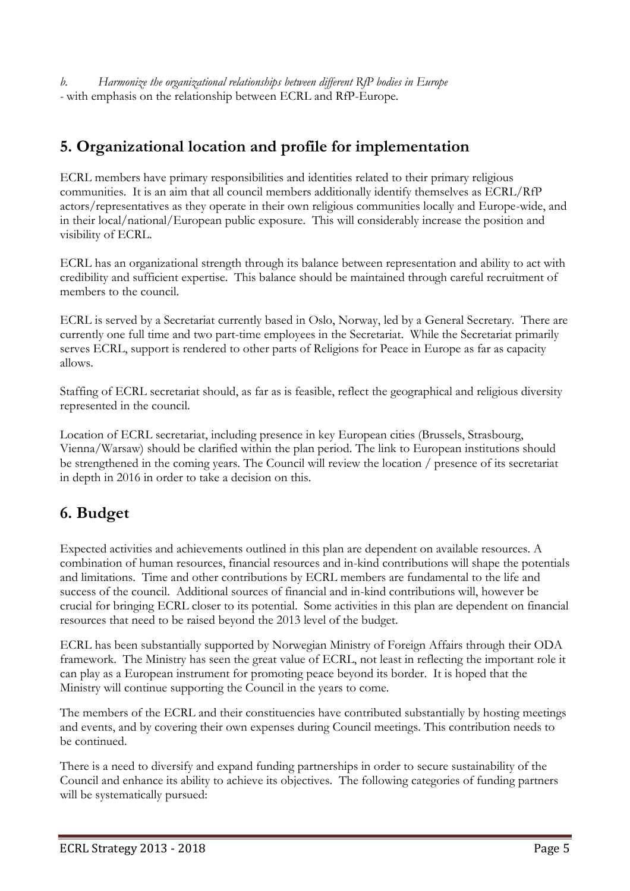*b. Harmonize the organizational relationships between different RfP bodies in Europe -* with emphasis on the relationship between ECRL and RfP-Europe*.*

## **5. Organizational location and profile for implementation**

ECRL members have primary responsibilities and identities related to their primary religious communities. It is an aim that all council members additionally identify themselves as ECRL/RfP actors/representatives as they operate in their own religious communities locally and Europe-wide, and in their local/national/European public exposure. This will considerably increase the position and visibility of ECRL.

ECRL has an organizational strength through its balance between representation and ability to act with credibility and sufficient expertise. This balance should be maintained through careful recruitment of members to the council.

ECRL is served by a Secretariat currently based in Oslo, Norway, led by a General Secretary. There are currently one full time and two part-time employees in the Secretariat. While the Secretariat primarily serves ECRL, support is rendered to other parts of Religions for Peace in Europe as far as capacity allows.

Staffing of ECRL secretariat should, as far as is feasible, reflect the geographical and religious diversity represented in the council.

Location of ECRL secretariat, including presence in key European cities (Brussels, Strasbourg, Vienna/Warsaw) should be clarified within the plan period. The link to European institutions should be strengthened in the coming years. The Council will review the location / presence of its secretariat in depth in 2016 in order to take a decision on this.

# **6. Budget**

Expected activities and achievements outlined in this plan are dependent on available resources. A combination of human resources, financial resources and in-kind contributions will shape the potentials and limitations. Time and other contributions by ECRL members are fundamental to the life and success of the council. Additional sources of financial and in-kind contributions will, however be crucial for bringing ECRL closer to its potential. Some activities in this plan are dependent on financial resources that need to be raised beyond the 2013 level of the budget.

ECRL has been substantially supported by Norwegian Ministry of Foreign Affairs through their ODA framework. The Ministry has seen the great value of ECRL, not least in reflecting the important role it can play as a European instrument for promoting peace beyond its border. It is hoped that the Ministry will continue supporting the Council in the years to come.

The members of the ECRL and their constituencies have contributed substantially by hosting meetings and events, and by covering their own expenses during Council meetings. This contribution needs to be continued.

There is a need to diversify and expand funding partnerships in order to secure sustainability of the Council and enhance its ability to achieve its objectives. The following categories of funding partners will be systematically pursued: